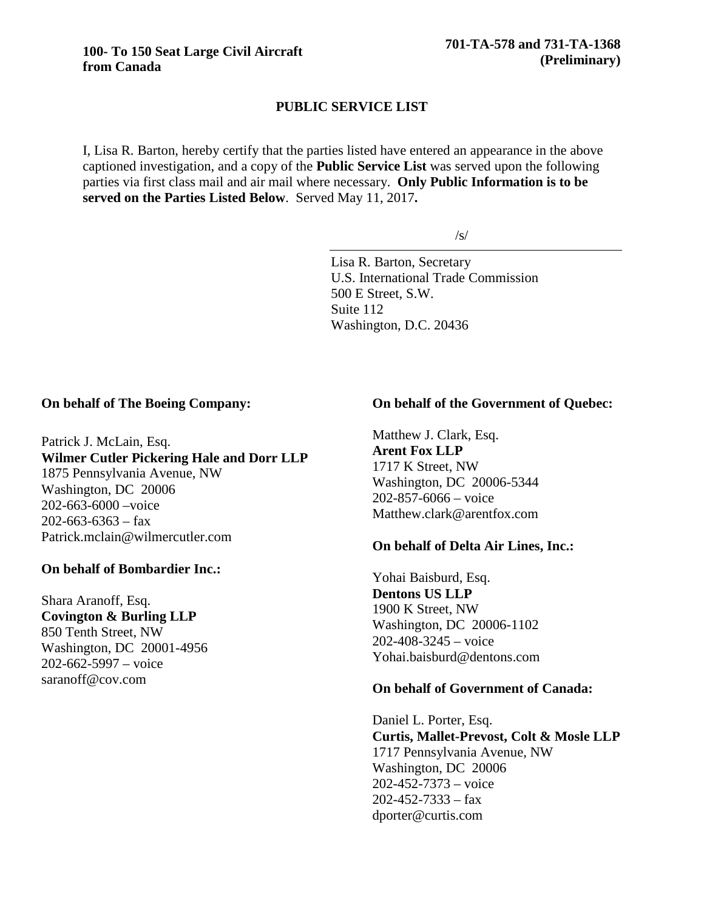# **PUBLIC SERVICE LIST**

I, Lisa R. Barton, hereby certify that the parties listed have entered an appearance in the above captioned investigation, and a copy of the **Public Service List** was served upon the following parties via first class mail and air mail where necessary. **Only Public Information is to be served on the Parties Listed Below**. Served May 11, 2017**.**

/s/

Lisa R. Barton, Secretary U.S. International Trade Commission 500 E Street, S.W. Suite 112 Washington, D.C. 20436

#### **On behalf of The Boeing Company:**

Patrick J. McLain, Esq. **Wilmer Cutler Pickering Hale and Dorr LLP** 1875 Pennsylvania Avenue, NW Washington, DC 20006 202-663-6000 –voice  $202 - 663 - 6363 - fax$ Patrick.mclain@wilmercutler.com

## **On behalf of Bombardier Inc.:**

Shara Aranoff, Esq. **Covington & Burling LLP** 850 Tenth Street, NW Washington, DC 20001-4956 202-662-5997 – voice saranoff@cov.com

### **On behalf of the Government of Quebec:**

Matthew J. Clark, Esq. **Arent Fox LLP** 1717 K Street, NW Washington, DC 20006-5344 202-857-6066 – voice Matthew.clark@arentfox.com

#### **On behalf of Delta Air Lines, Inc.:**

Yohai Baisburd, Esq. **Dentons US LLP** 1900 K Street, NW Washington, DC 20006-1102 202-408-3245 – voice Yohai.baisburd@dentons.com

#### **On behalf of Government of Canada:**

Daniel L. Porter, Esq. **Curtis, Mallet-Prevost, Colt & Mosle LLP** 1717 Pennsylvania Avenue, NW Washington, DC 20006 202-452-7373 – voice  $202 - 452 - 7333 - fax$ dporter@curtis.com